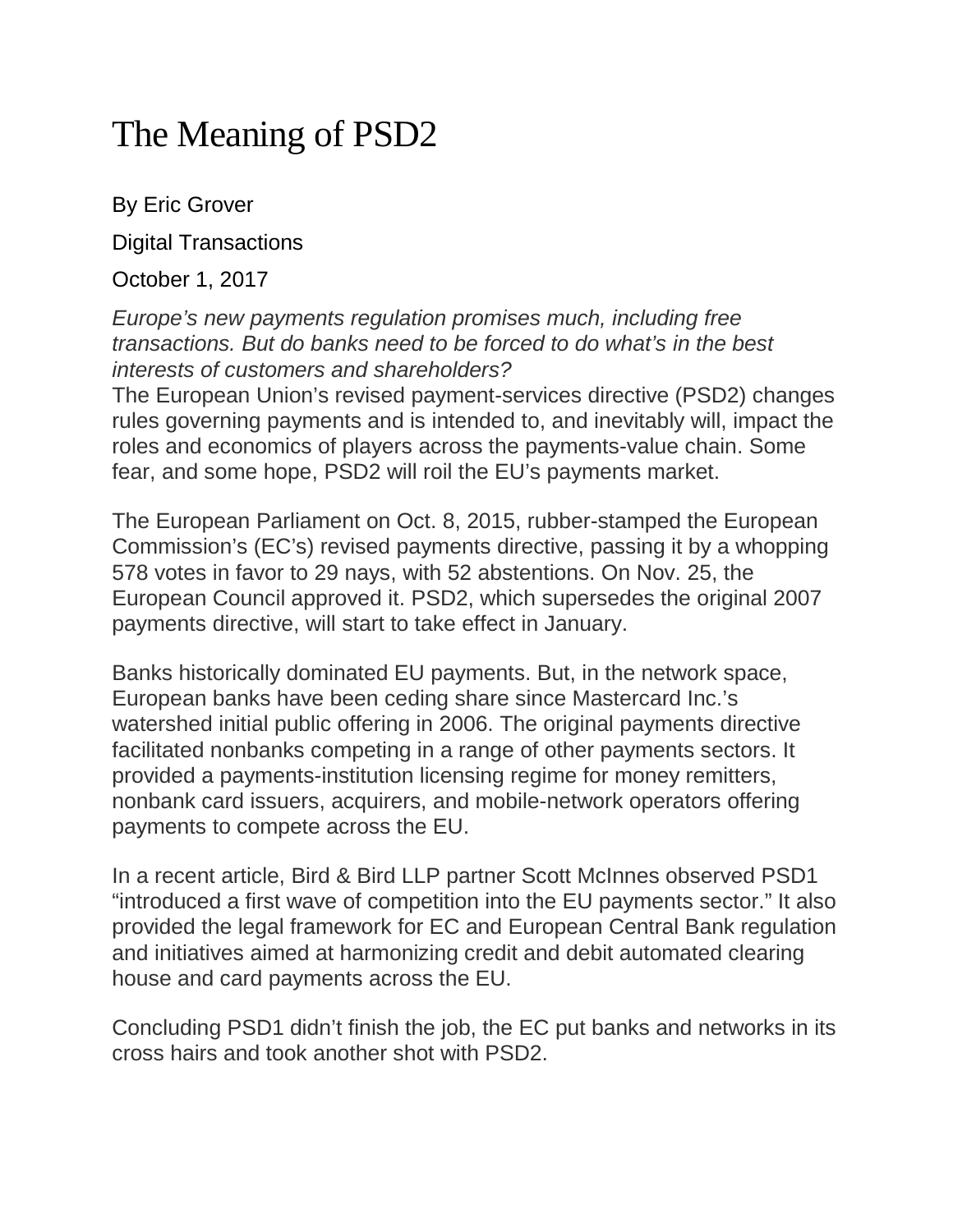# The Meaning of PSD2

By Eric Grover

Digital Transactions

October 1, 2017

*Europe's new payments regulation promises much, including free transactions. But do banks need to be forced to do what's in the best interests of customers and shareholders?*

The European Union's revised payment-services directive (PSD2) changes rules governing payments and is intended to, and inevitably will, impact the roles and economics of players across the payments-value chain. Some fear, and some hope, PSD2 will roil the EU's payments market.

The European Parliament on Oct. 8, 2015, rubber-stamped the European Commission's (EC's) revised payments directive, passing it by a whopping 578 votes in favor to 29 nays, with 52 abstentions. On Nov. 25, the European Council approved it. PSD2, which supersedes the original 2007 payments directive, will start to take effect in January.

Banks historically dominated EU payments. But, in the network space, European banks have been ceding share since Mastercard Inc.'s watershed initial public offering in 2006. The original payments directive facilitated nonbanks competing in a range of other payments sectors. It provided a payments-institution licensing regime for money remitters, nonbank card issuers, acquirers, and mobile-network operators offering payments to compete across the EU.

In a recent article, Bird & Bird LLP partner Scott McInnes observed PSD1 "introduced a first wave of competition into the EU payments sector." It also provided the legal framework for EC and European Central Bank regulation and initiatives aimed at harmonizing credit and debit automated clearing house and card payments across the EU.

Concluding PSD1 didn't finish the job, the EC put banks and networks in its cross hairs and took another shot with PSD2.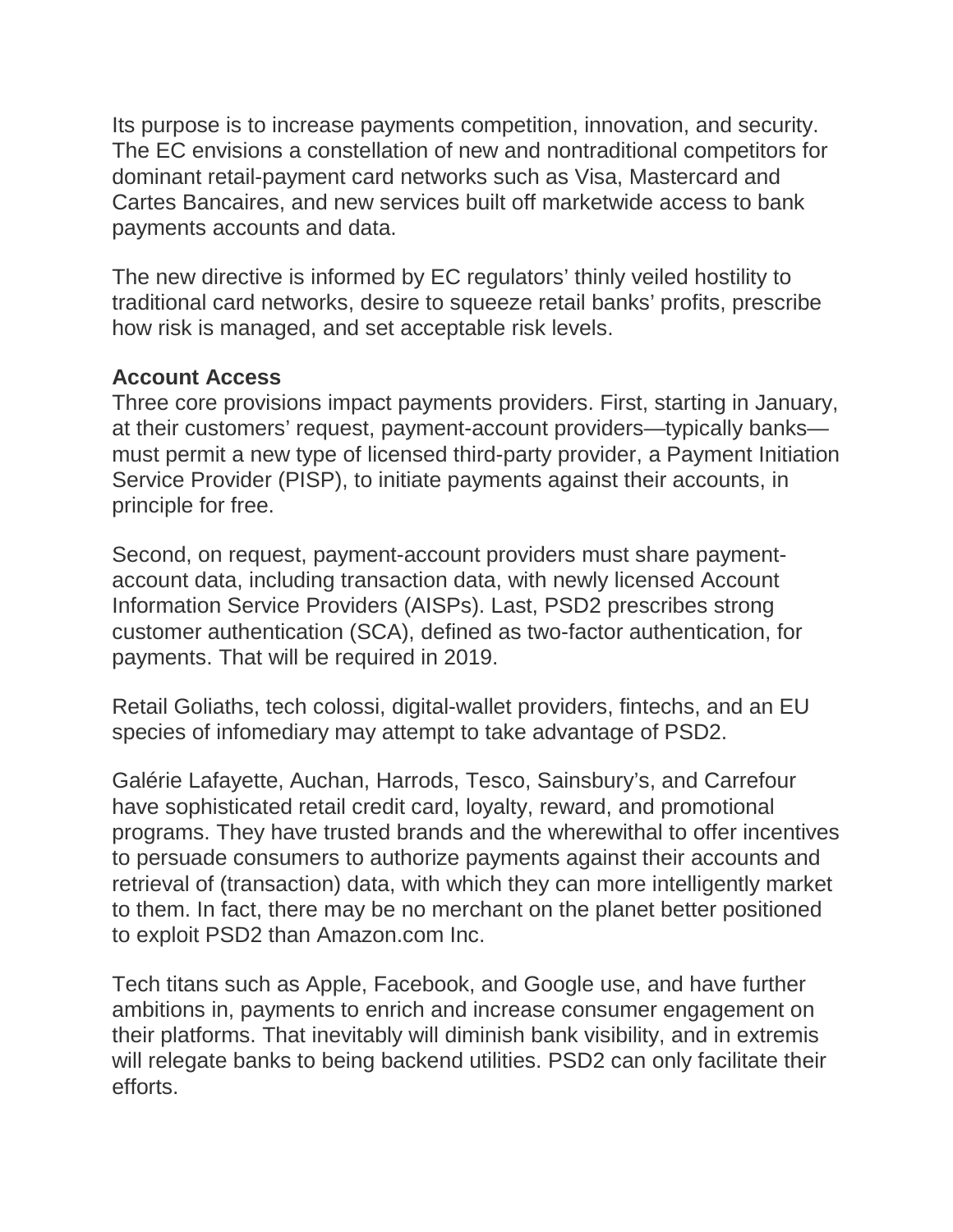Its purpose is to increase payments competition, innovation, and security. The EC envisions a constellation of new and nontraditional competitors for dominant retail-payment card networks such as Visa, Mastercard and Cartes Bancaires, and new services built off marketwide access to bank payments accounts and data.

The new directive is informed by EC regulators' thinly veiled hostility to traditional card networks, desire to squeeze retail banks' profits, prescribe how risk is managed, and set acceptable risk levels.

### **Account Access**

Three core provisions impact payments providers. First, starting in January, at their customers' request, payment-account providers—typically banks must permit a new type of licensed third-party provider, a Payment Initiation Service Provider (PISP), to initiate payments against their accounts, in principle for free.

Second, on request, payment-account providers must share paymentaccount data, including transaction data, with newly licensed Account Information Service Providers (AISPs). Last, PSD2 prescribes strong customer authentication (SCA), defined as two-factor authentication, for payments. That will be required in 2019.

Retail Goliaths, tech colossi, digital-wallet providers, fintechs, and an EU species of infomediary may attempt to take advantage of PSD2.

Galérie Lafayette, Auchan, Harrods, Tesco, Sainsbury's, and Carrefour have sophisticated retail credit card, loyalty, reward, and promotional programs. They have trusted brands and the wherewithal to offer incentives to persuade consumers to authorize payments against their accounts and retrieval of (transaction) data, with which they can more intelligently market to them. In fact, there may be no merchant on the planet better positioned to exploit PSD2 than Amazon.com Inc.

Tech titans such as Apple, Facebook, and Google use, and have further ambitions in, payments to enrich and increase consumer engagement on their platforms. That inevitably will diminish bank visibility, and in extremis will relegate banks to being backend utilities. PSD2 can only facilitate their efforts.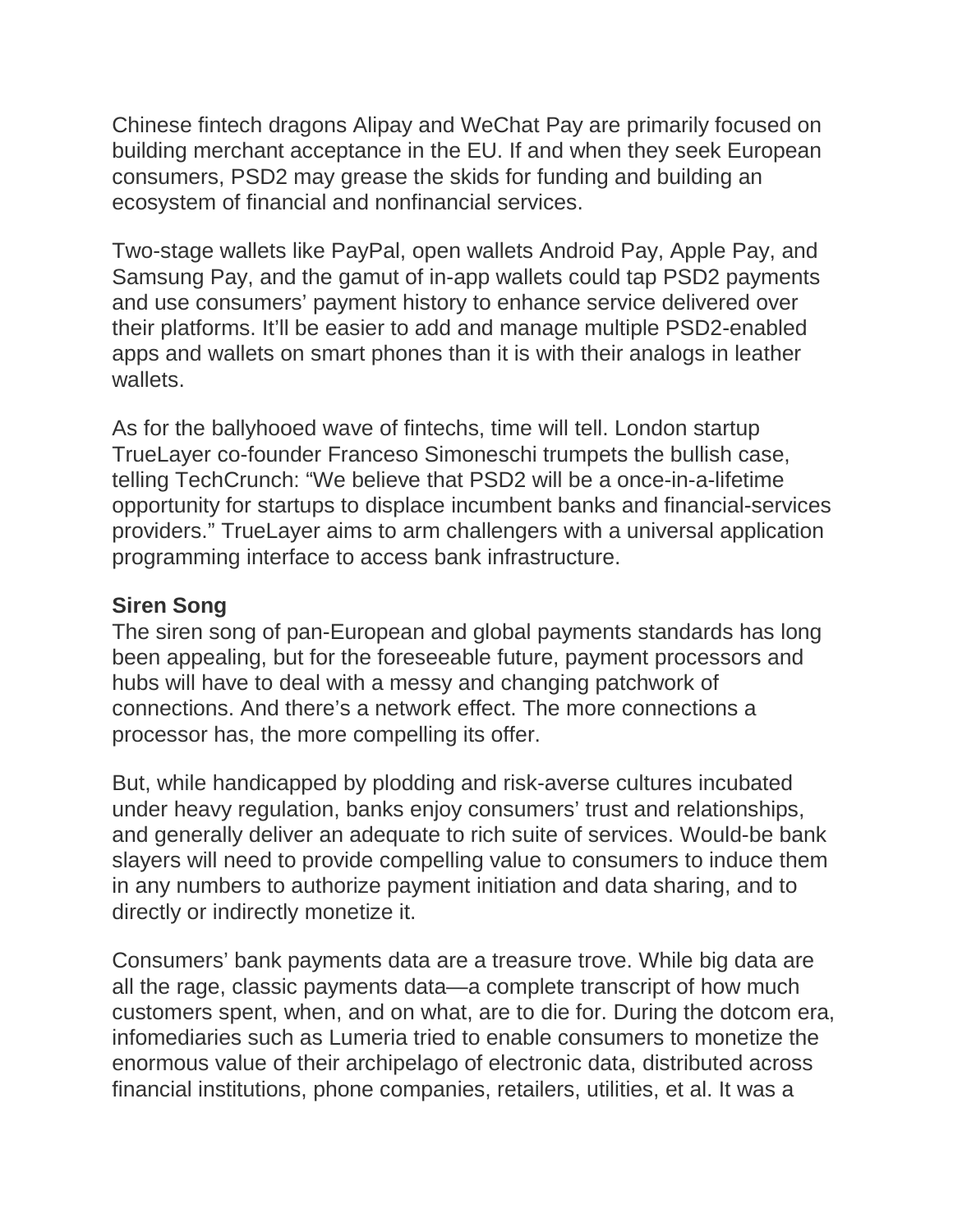Chinese fintech dragons Alipay and WeChat Pay are primarily focused on building merchant acceptance in the EU. If and when they seek European consumers, PSD2 may grease the skids for funding and building an ecosystem of financial and nonfinancial services.

Two-stage wallets like PayPal, open wallets Android Pay, Apple Pay, and Samsung Pay, and the gamut of in-app wallets could tap PSD2 payments and use consumers' payment history to enhance service delivered over their platforms. It'll be easier to add and manage multiple PSD2-enabled apps and wallets on smart phones than it is with their analogs in leather wallets.

As for the ballyhooed wave of fintechs, time will tell. London startup TrueLayer co-founder Franceso Simoneschi trumpets the bullish case, telling TechCrunch: "We believe that PSD2 will be a once-in-a-lifetime opportunity for startups to displace incumbent banks and financial-services providers." TrueLayer aims to arm challengers with a universal application programming interface to access bank infrastructure.

#### **Siren Song**

The siren song of pan-European and global payments standards has long been appealing, but for the foreseeable future, payment processors and hubs will have to deal with a messy and changing patchwork of connections. And there's a network effect. The more connections a processor has, the more compelling its offer.

But, while handicapped by plodding and risk-averse cultures incubated under heavy regulation, banks enjoy consumers' trust and relationships, and generally deliver an adequate to rich suite of services. Would-be bank slayers will need to provide compelling value to consumers to induce them in any numbers to authorize payment initiation and data sharing, and to directly or indirectly monetize it.

Consumers' bank payments data are a treasure trove. While big data are all the rage, classic payments data—a complete transcript of how much customers spent, when, and on what, are to die for. During the dotcom era, infomediaries such as Lumeria tried to enable consumers to monetize the enormous value of their archipelago of electronic data, distributed across financial institutions, phone companies, retailers, utilities, et al. It was a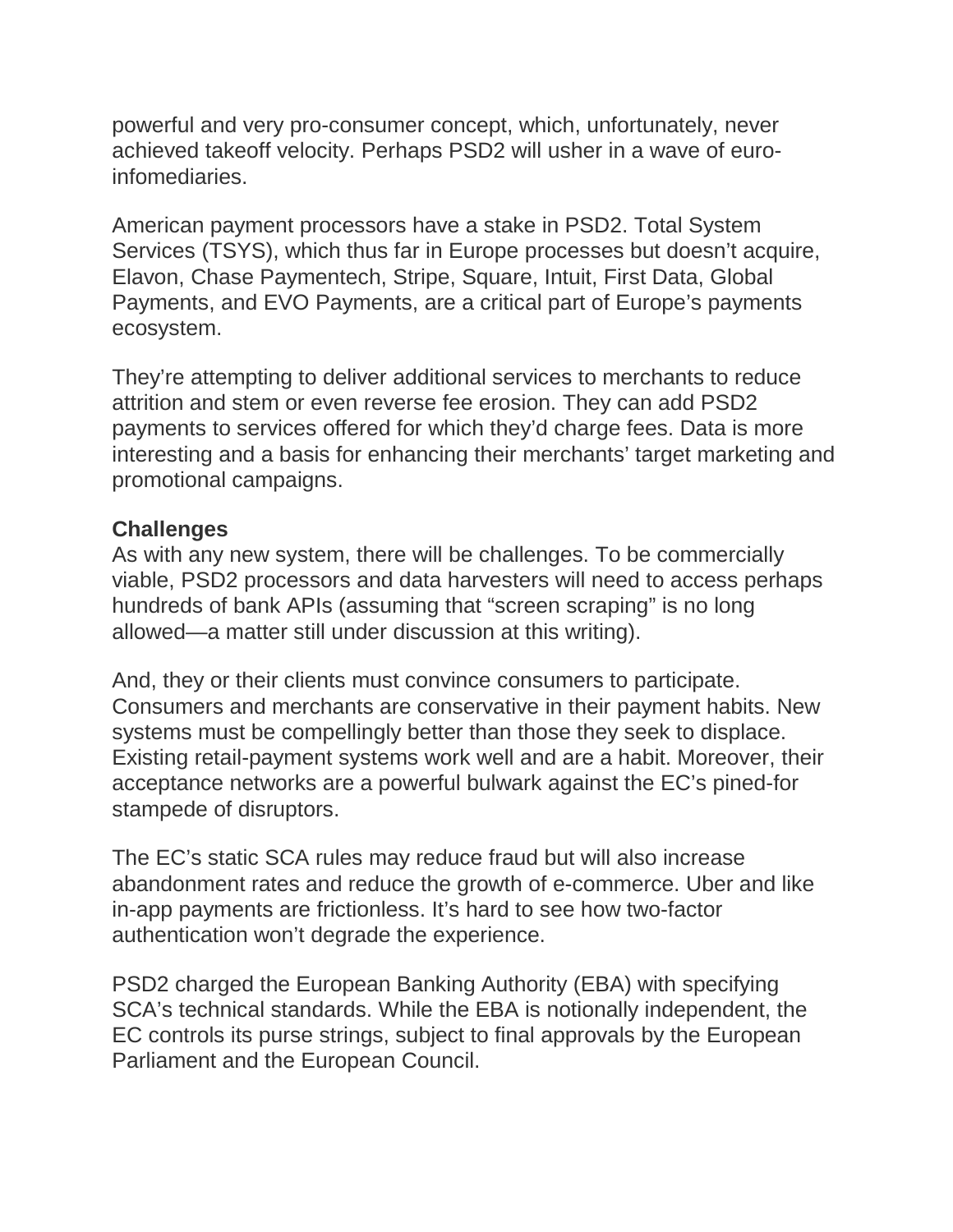powerful and very pro-consumer concept, which, unfortunately, never achieved takeoff velocity. Perhaps PSD2 will usher in a wave of euroinfomediaries.

American payment processors have a stake in PSD2. Total System Services (TSYS), which thus far in Europe processes but doesn't acquire, Elavon, Chase Paymentech, Stripe, Square, Intuit, First Data, Global Payments, and EVO Payments, are a critical part of Europe's payments ecosystem.

They're attempting to deliver additional services to merchants to reduce attrition and stem or even reverse fee erosion. They can add PSD2 payments to services offered for which they'd charge fees. Data is more interesting and a basis for enhancing their merchants' target marketing and promotional campaigns.

#### **Challenges**

As with any new system, there will be challenges. To be commercially viable, PSD2 processors and data harvesters will need to access perhaps hundreds of bank APIs (assuming that "screen scraping" is no long allowed—a matter still under discussion at this writing).

And, they or their clients must convince consumers to participate. Consumers and merchants are conservative in their payment habits. New systems must be compellingly better than those they seek to displace. Existing retail-payment systems work well and are a habit. Moreover, their acceptance networks are a powerful bulwark against the EC's pined-for stampede of disruptors.

The EC's static SCA rules may reduce fraud but will also increase abandonment rates and reduce the growth of e-commerce. Uber and like in-app payments are frictionless. It's hard to see how two-factor authentication won't degrade the experience.

PSD2 charged the European Banking Authority (EBA) with specifying SCA's technical standards. While the EBA is notionally independent, the EC controls its purse strings, subject to final approvals by the European Parliament and the European Council.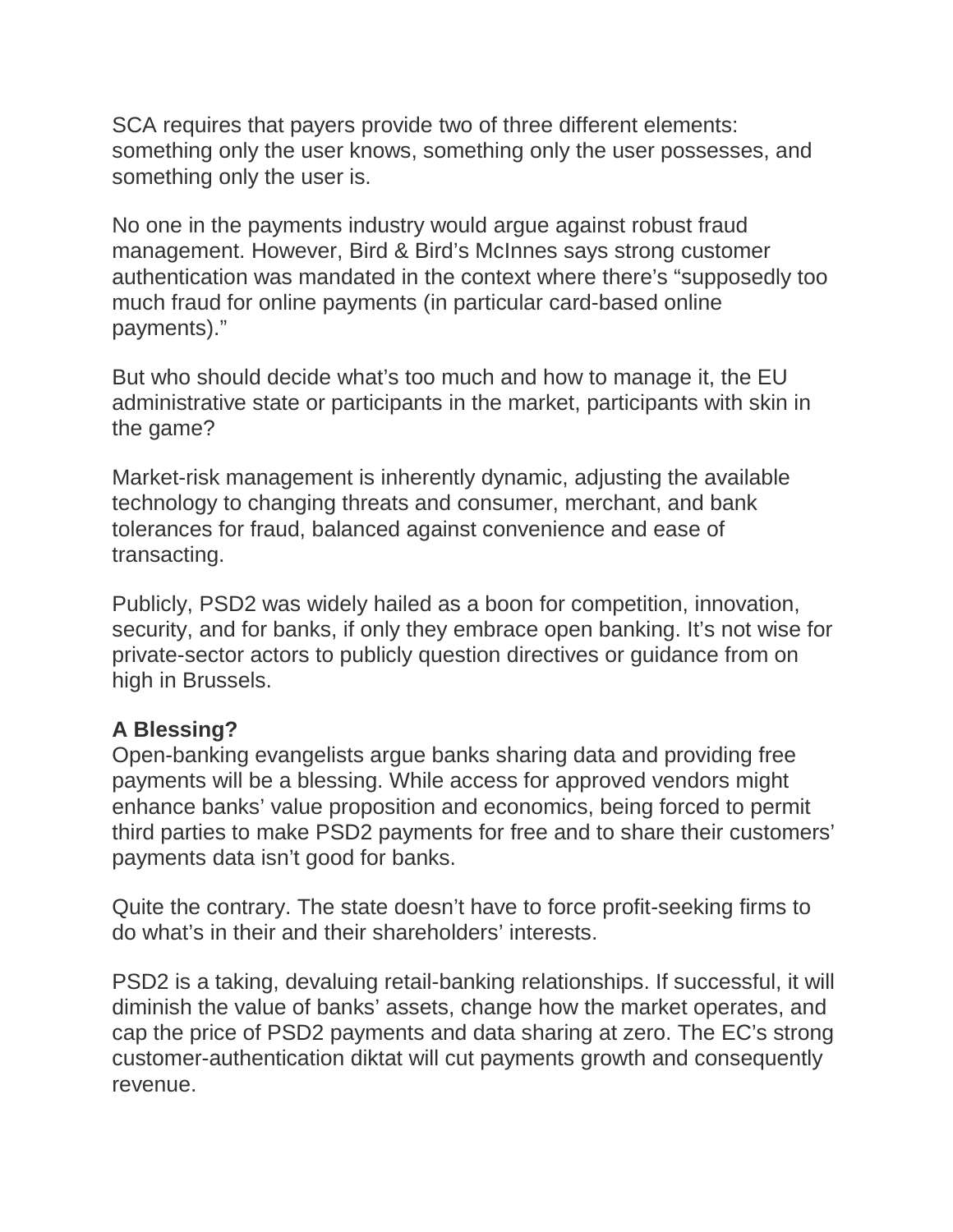SCA requires that payers provide two of three different elements: something only the user knows, something only the user possesses, and something only the user is.

No one in the payments industry would argue against robust fraud management. However, Bird & Bird's McInnes says strong customer authentication was mandated in the context where there's "supposedly too much fraud for online payments (in particular card-based online payments)."

But who should decide what's too much and how to manage it, the EU administrative state or participants in the market, participants with skin in the game?

Market-risk management is inherently dynamic, adjusting the available technology to changing threats and consumer, merchant, and bank tolerances for fraud, balanced against convenience and ease of transacting.

Publicly, PSD2 was widely hailed as a boon for competition, innovation, security, and for banks, if only they embrace open banking. It's not wise for private-sector actors to publicly question directives or guidance from on high in Brussels.

## **A Blessing?**

Open-banking evangelists argue banks sharing data and providing free payments will be a blessing. While access for approved vendors might enhance banks' value proposition and economics, being forced to permit third parties to make PSD2 payments for free and to share their customers' payments data isn't good for banks.

Quite the contrary. The state doesn't have to force profit-seeking firms to do what's in their and their shareholders' interests.

PSD2 is a taking, devaluing retail-banking relationships. If successful, it will diminish the value of banks' assets, change how the market operates, and cap the price of PSD2 payments and data sharing at zero. The EC's strong customer-authentication diktat will cut payments growth and consequently revenue.